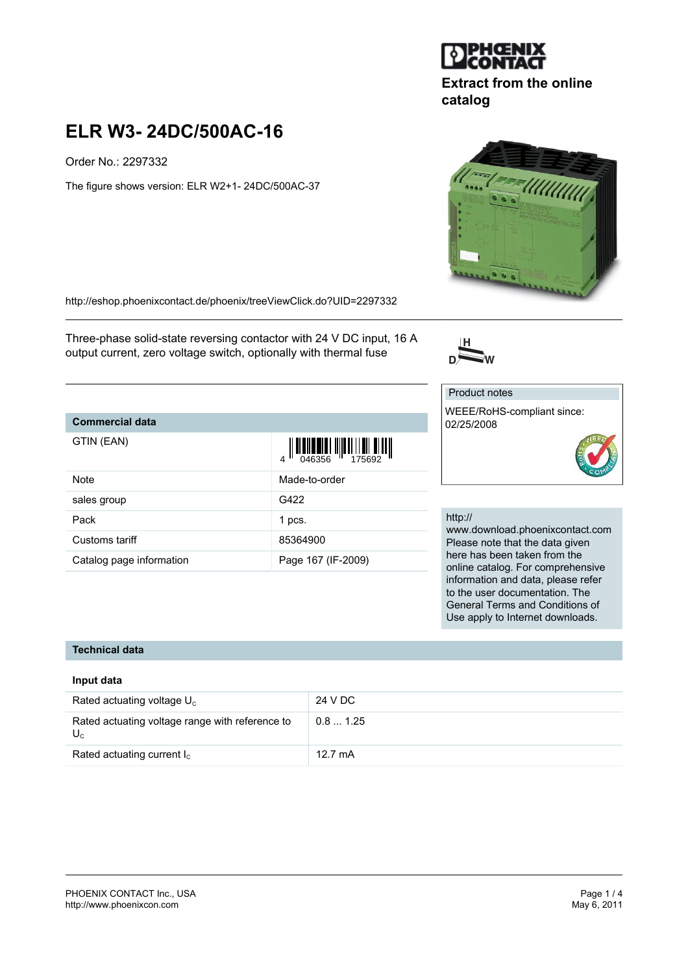

Order No.: 2297332

The figure shows version: ELR W2+1- 24DC/500AC-37

<http://eshop.phoenixcontact.de/phoenix/treeViewClick.do?UID=2297332>

Three-phase solid-state reversing contactor with 24 V DC input, 16 A output current, zero voltage switch, optionally with thermal fuse

## **Commercial data**

| GTIN (EAN)               | $\begin{array}{c} 1 \\ 0 \\ \hline 0 \\ 46356 \end{array}$ |
|--------------------------|------------------------------------------------------------|
| <b>Note</b>              | Made-to-order                                              |
| sales group              | G422                                                       |
| Pack                     | 1 pcs.                                                     |
| Customs tariff           | 85364900                                                   |
| Catalog page information | Page 167 (IF-2009)                                         |

#### http://

www.download.phoenixcontact.com Please note that the data given here has been taken from the online catalog. For comprehensive information and data, please refer to the user documentation. The General Terms and Conditions of Use apply to Internet downloads.

#### **Technical data**

#### **Input data**

| Rated actuating voltage $U_c$                            | 24 V DC           |
|----------------------------------------------------------|-------------------|
| Rated actuating voltage range with reference to<br>$U_c$ | 0.81.25           |
| Rated actuating current $I_c$                            | $12.7 \text{ mA}$ |





**catalog**

**Extract from the online**



WEEE/RoHS-compliant since:

Product notes

02/25/2008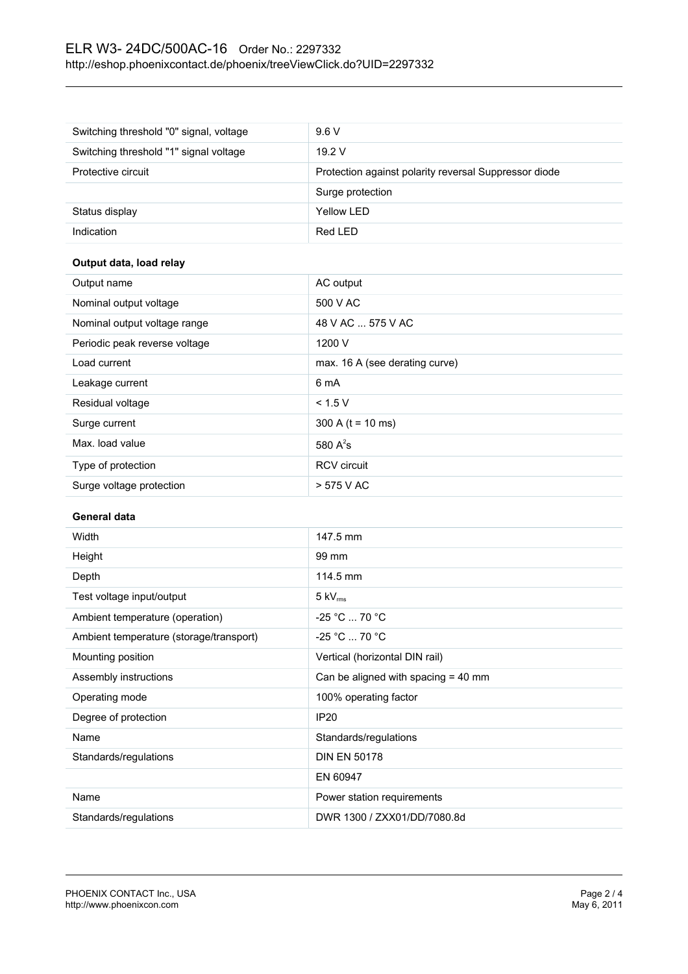# ELR W3- 24DC/500AC-16 Order No.: 2297332 <http://eshop.phoenixcontact.de/phoenix/treeViewClick.do?UID=2297332>

| Switching threshold "0" signal, voltage | 9.6V                                                  |
|-----------------------------------------|-------------------------------------------------------|
| Switching threshold "1" signal voltage  | 19.2V                                                 |
| Protective circuit                      | Protection against polarity reversal Suppressor diode |
|                                         | Surge protection                                      |
| Status display                          | Yellow LED                                            |
| Indication                              | Red LED                                               |

## **Output data, load relay**

| Output name                   | AC output                      |
|-------------------------------|--------------------------------|
| Nominal output voltage        | 500 V AC                       |
| Nominal output voltage range  | 48 V AC  575 V AC              |
| Periodic peak reverse voltage | 1200 V                         |
| Load current                  | max. 16 A (see derating curve) |
| Leakage current               | 6 mA                           |
| Residual voltage              | < 1.5 V                        |
| Surge current                 | 300 A ( $t = 10$ ms)           |
| Max. load value               | 580 $A^2$ s                    |
| Type of protection            | <b>RCV</b> circuit             |
| Surge voltage protection      | > 575 V AC                     |

#### **General data**

| Width                                   | 147.5 mm                              |  |
|-----------------------------------------|---------------------------------------|--|
| Height                                  | 99 mm                                 |  |
| Depth                                   | 114.5 mm                              |  |
| Test voltage input/output               | $5 \text{ kV}_{\text{rms}}$           |  |
| Ambient temperature (operation)         | $-25 °C  70 °C$                       |  |
| Ambient temperature (storage/transport) | $-25 °C  70 °C$                       |  |
| Mounting position                       | Vertical (horizontal DIN rail)        |  |
| Assembly instructions                   | Can be aligned with spacing $=$ 40 mm |  |
| Operating mode                          | 100% operating factor                 |  |
| Degree of protection                    | <b>IP20</b>                           |  |
| Name                                    | Standards/regulations                 |  |
| Standards/regulations                   | <b>DIN EN 50178</b>                   |  |
|                                         | EN 60947                              |  |
| Name                                    | Power station requirements            |  |
| Standards/regulations                   | DWR 1300 / ZXX01/DD/7080.8d           |  |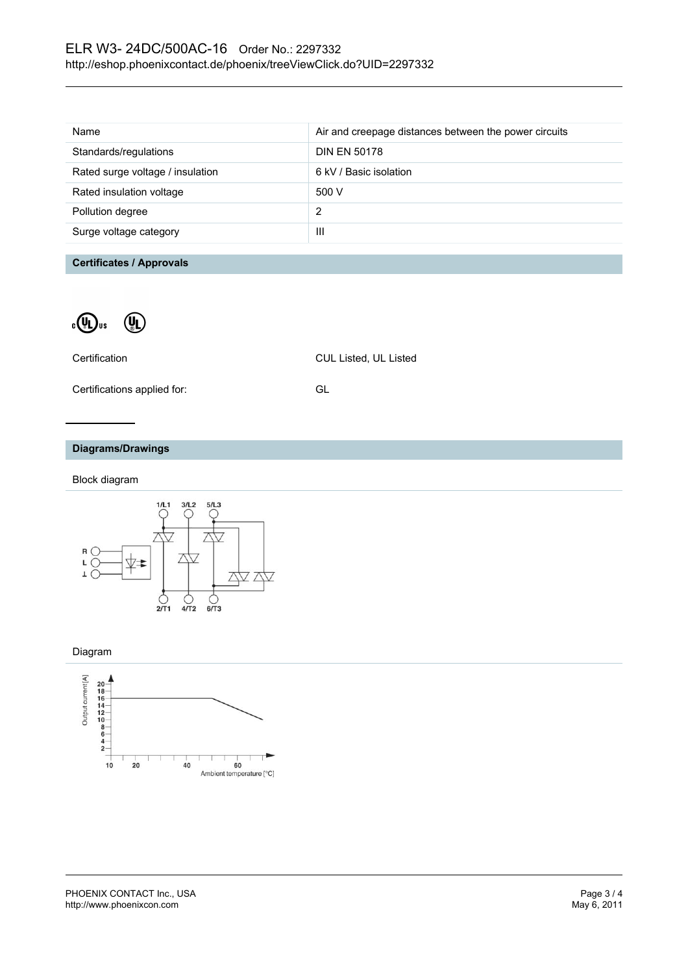| Name                             | Air and creepage distances between the power circuits |
|----------------------------------|-------------------------------------------------------|
| Standards/regulations            | <b>DIN EN 50178</b>                                   |
| Rated surge voltage / insulation | 6 kV / Basic isolation                                |
| Rated insulation voltage         | 500 V                                                 |
| Pollution degree                 | 2                                                     |
| Surge voltage category           | Ш                                                     |
|                                  |                                                       |

### **Certificates / Approvals**



| Certification               | <b>CUL Listed, UL Listed</b> |
|-----------------------------|------------------------------|
| Certifications applied for: | GL.                          |

## **Diagrams/Drawings**

Block diagram



#### Diagram